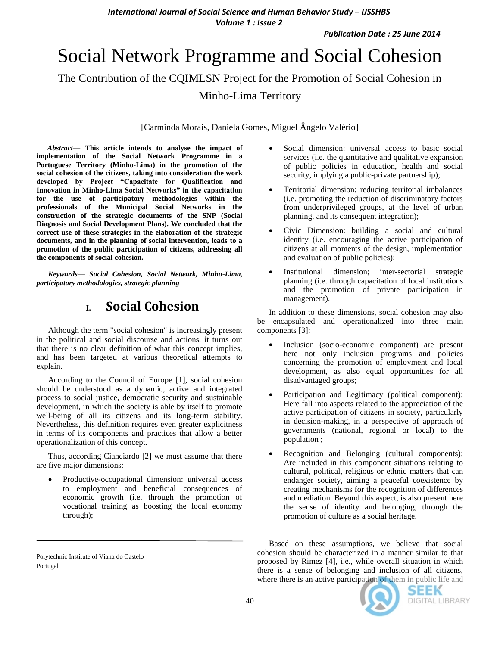# Social Network Programme and Social Cohesion

The Contribution of the CQIMLSN Project for the Promotion of Social Cohesion in

Minho-Lima Territory

[Carminda Morais, Daniela Gomes, Miguel Ângelo Valério]

*Abstract***— This article intends to analyse the impact of implementation of the Social Network Programme in a Portuguese Territory (Minho-Lima) in the promotion of the social cohesion of the citizens, taking into consideration the work developed by Project "Capacitate for Qualification and Innovation in Minho-Lima Social Networks" in the capacitation for the use of participatory methodologies within the professionals of the Municipal Social Networks in the construction of the strategic documents of the SNP (Social Diagnosis and Social Development Plans). We concluded that the correct use of these strategies in the elaboration of the strategic documents, and in the planning of social intervention, leads to a promotion of the public participation of citizens, addressing all the components of social cohesion.**

*Keywords— Social Cohesion, Social Network, Minho-Lima, participatory methodologies, strategic planning*

### **I. Social Cohesion**

Although the term "social cohesion" is increasingly present in the political and social discourse and actions, it turns out that there is no clear definition of what this concept implies, and has been targeted at various theoretical attempts to explain.

According to the Council of Europe [1], social cohesion should be understood as a dynamic, active and integrated process to social justice, democratic security and sustainable development, in which the society is able by itself to promote well-being of all its citizens and its long-term stability. Nevertheless, this definition requires even greater explicitness in terms of its components and practices that allow a better operationalization of this concept.

Thus, according Cianciardo [2] we must assume that there are five major dimensions:

 Productive-occupational dimension: universal access to employment and beneficial consequences of economic growth (i.e. through the promotion of vocational training as boosting the local economy through);

- Social dimension: universal access to basic social services (i.e. the quantitative and qualitative expansion of public policies in education, health and social security, implying a public-private partnership);
- Territorial dimension: reducing territorial imbalances (i.e. promoting the reduction of discriminatory factors from underprivileged groups, at the level of urban planning, and its consequent integration);
- Civic Dimension: building a social and cultural identity (i.e. encouraging the active participation of citizens at all moments of the design, implementation and evaluation of public policies);
- Institutional dimension; inter-sectorial strategic planning (i.e. through capacitation of local institutions and the promotion of private participation in management).

In addition to these dimensions, social cohesion may also be encapsulated and operationalized into three main components [3]:

- Inclusion (socio-economic component) are present here not only inclusion programs and policies concerning the promotion of employment and local development, as also equal opportunities for all disadvantaged groups;
- Participation and Legitimacy (political component): Here fall into aspects related to the appreciation of the active participation of citizens in society, particularly in decision-making, in a perspective of approach of governments (national, regional or local) to the population ;
- Recognition and Belonging (cultural components): Are included in this component situations relating to cultural, political, religious or ethnic matters that can endanger society, aiming a peaceful coexistence by creating mechanisms for the recognition of differences and mediation. Beyond this aspect, is also present here the sense of identity and belonging, through the promotion of culture as a social heritage.

Based on these assumptions, we believe that social cohesion should be characterized in a manner similar to that proposed by Rimez [4], i.e., while overall situation in which there is a sense of belonging and inclusion of all citizens, where there is an active participation of them in public life and



SEEK DIGITAL LIBRARY

Polytechnic Institute of Viana do Castelo Portugal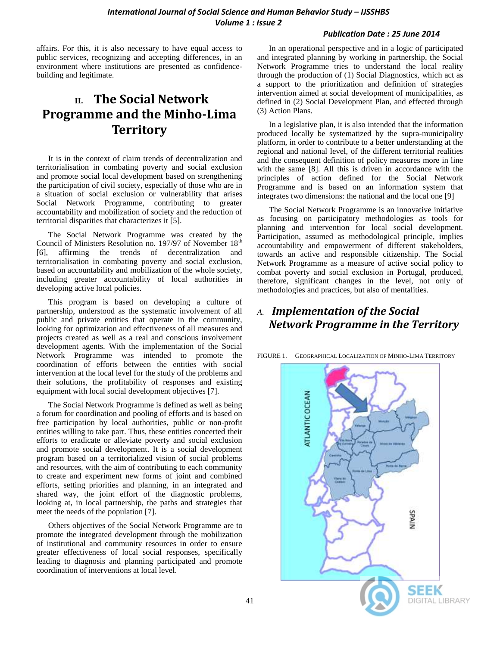#### *Publication Date : 25 June 2014*

affairs. For this, it is also necessary to have equal access to public services, recognizing and accepting differences, in an environment where institutions are presented as confidencebuilding and legitimate.

# **II. The Social Network Programme and the Minho-Lima Territory**

It is in the context of claim trends of decentralization and territorialisation in combating poverty and social exclusion and promote social local development based on strengthening the participation of civil society, especially of those who are in a situation of social exclusion or vulnerability that arises Social Network Programme, contributing to greater accountability and mobilization of society and the reduction of territorial disparities that characterizes it [5].

The Social Network Programme was created by the Council of Ministers Resolution no. 197/97 of November  $18<sup>th</sup>$ [6], affirming the trends of decentralization and territorialisation in combating poverty and social exclusion, based on accountability and mobilization of the whole society, including greater accountability of local authorities in developing active local policies.

This program is based on developing a culture of partnership, understood as the systematic involvement of all public and private entities that operate in the community, looking for optimization and effectiveness of all measures and projects created as well as a real and conscious involvement development agents. With the implementation of the Social Network Programme was intended to promote the coordination of efforts between the entities with social intervention at the local level for the study of the problems and their solutions, the profitability of responses and existing equipment with local social development objectives [7].

The Social Network Programme is defined as well as being a forum for coordination and pooling of efforts and is based on free participation by local authorities, public or non-profit entities willing to take part. Thus, these entities concerted their efforts to eradicate or alleviate poverty and social exclusion and promote social development. It is a social development program based on a territorialized vision of social problems and resources, with the aim of contributing to each community to create and experiment new forms of joint and combined efforts, setting priorities and planning, in an integrated and shared way, the joint effort of the diagnostic problems, looking at, in local partnership, the paths and strategies that meet the needs of the population [7].

Others objectives of the Social Network Programme are to promote the integrated development through the mobilization of institutional and community resources in order to ensure greater effectiveness of local social responses, specifically leading to diagnosis and planning participated and promote coordination of interventions at local level.

In an operational perspective and in a logic of participated and integrated planning by working in partnership, the Social Network Programme tries to understand the local reality through the production of (1) Social Diagnostics, which act as a support to the prioritization and definition of strategies intervention aimed at social development of municipalities, as defined in (2) Social Development Plan, and effected through (3) Action Plans.

In a legislative plan, it is also intended that the information produced locally be systematized by the supra-municipality platform, in order to contribute to a better understanding at the regional and national level, of the different territorial realities and the consequent definition of policy measures more in line with the same [8]. All this is driven in accordance with the principles of action defined for the Social Network Programme and is based on an information system that integrates two dimensions: the national and the local one [9]

The Social Network Programme is an innovative initiative as focusing on participatory methodologies as tools for planning and intervention for local social development. Participation, assumed as methodological principle, implies accountability and empowerment of different stakeholders, towards an active and responsible citizenship. The Social Network Programme as a measure of active social policy to combat poverty and social exclusion in Portugal, produced, therefore, significant changes in the level, not only of methodologies and practices, but also of mentalities.

### *A. Implementation of the Social Network Programme in the Territory*

FIGURE 1. GEOGRAPHICAL LOCALIZATION OF MINHO-LIMA TERRITORY

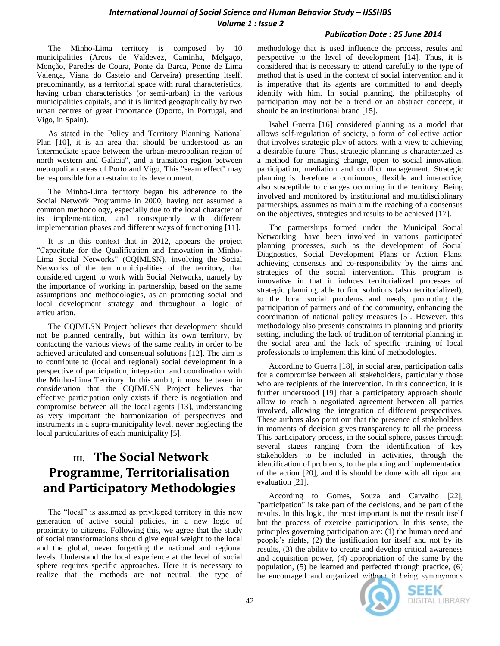#### *Publication Date : 25 June 2014*

The Minho-Lima territory is composed by 10 municipalities (Arcos de Valdevez, Caminha, Melgaço, Monção, Paredes de Coura, Ponte da Barca, Ponte de Lima Valença, Viana do Castelo and Cerveira) presenting itself, predominantly, as a territorial space with rural characteristics, having urban characteristics (or semi-urban) in the various municipalities capitals, and it is limited geographically by two urban centres of great importance (Oporto, in Portugal, and Vigo, in Spain).

As stated in the Policy and Territory Planning National Plan [10], it is an area that should be understood as an 'intermediate space between the urban-metropolitan region of north western and Galicia", and a transition region between metropolitan areas of Porto and Vigo, This "seam effect" may be responsible for a restraint to its development.

The Minho-Lima territory began his adherence to the Social Network Programme in 2000, having not assumed a common methodology, especially due to the local character of its implementation, and consequently with different implementation phases and different ways of functioning [11].

It is in this context that in 2012, appears the project "Capacitate for the Qualification and Innovation in Minho-Lima Social Networks" (CQIMLSN), involving the Social Networks of the ten municipalities of the territory, that considered urgent to work with Social Networks, namely by the importance of working in partnership, based on the same assumptions and methodologies, as an promoting social and local development strategy and throughout a logic of articulation.

The CQIMLSN Project believes that development should not be planned centrally, but within its own territory, by contacting the various views of the same reality in order to be achieved articulated and consensual solutions [12]. The aim is to contribute to (local and regional) social development in a perspective of participation, integration and coordination with the Minho-Lima Territory. In this ambit, it must be taken in consideration that the CQIMLSN Project believes that effective participation only exists if there is negotiation and compromise between all the local agents [13], understanding as very important the harmonization of perspectives and instruments in a supra-municipality level, never neglecting the local particularities of each municipality [5].

# **III. The Social Network Programme, Territorialisation and Participatory Methodologies**

The "local" is assumed as privileged territory in this new generation of active social policies, in a new logic of proximity to citizens. Following this, we agree that the study of social transformations should give equal weight to the local and the global, never forgetting the national and regional levels. Understand the local experience at the level of social sphere requires specific approaches. Here it is necessary to realize that the methods are not neutral, the type of

methodology that is used influence the process, results and perspective to the level of development [14]. Thus, it is considered that is necessary to attend carefully to the type of method that is used in the context of social intervention and it is imperative that its agents are committed to and deeply identify with him. In social planning, the philosophy of participation may not be a trend or an abstract concept, it should be an institutional brand [15].

Isabel Guerra [16] considered planning as a model that allows self-regulation of society, a form of collective action that involves strategic play of actors, with a view to achieving a desirable future. Thus, strategic planning is characterized as a method for managing change, open to social innovation, participation, mediation and conflict management. Strategic planning is therefore a continuous, flexible and interactive, also susceptible to changes occurring in the territory. Being involved and monitored by institutional and multidisciplinary partnerships, assumes as main aim the reaching of a consensus on the objectives, strategies and results to be achieved [17].

The partnerships formed under the Municipal Social Networking, have been involved in various participated planning processes, such as the development of Social Diagnostics, Social Development Plans or Action Plans, achieving consensus and co-responsibility by the aims and strategies of the social intervention. This program is innovative in that it induces territorialized processes of strategic planning, able to find solutions (also territorialized), to the local social problems and needs, promoting the participation of partners and of the community, enhancing the coordination of national policy measures [5]. However, this methodology also presents constraints in planning and priority setting, including the lack of tradition of territorial planning in the social area and the lack of specific training of local professionals to implement this kind of methodologies.

According to Guerra [18], in social area, participation calls for a compromise between all stakeholders, particularly those who are recipients of the intervention. In this connection, it is further understood [19] that a participatory approach should allow to reach a negotiated agreement between all parties involved, allowing the integration of different perspectives. These authors also point out that the presence of stakeholders in moments of decision gives transparency to all the process. This participatory process, in the social sphere, passes through several stages ranging from the identification of key stakeholders to be included in activities, through the identification of problems, to the planning and implementation of the action [20], and this should be done with all rigor and evaluation [21].

According to Gomes, Souza and Carvalho [22], "participation" is take part of the decisions, and be part of the results. In this logic, the most important is not the result itself but the process of exercise participation. In this sense, the principles governing participation are: (1) the human need and people's rights, (2) the justification for itself and not by its results, (3) the ability to create and develop critical awareness and acquisition power, (4) appropriation of the same by the population, (5) be learned and perfected through practice, (6) be encouraged and organized without it being synonymous



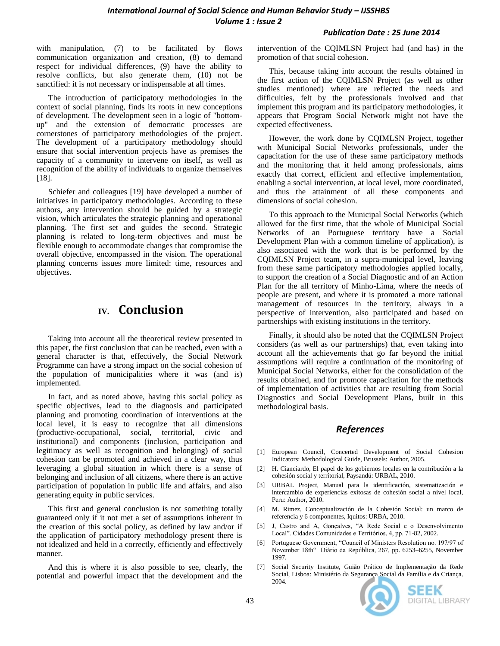#### *Publication Date : 25 June 2014*

with manipulation, (7) to be facilitated by flows communication organization and creation, (8) to demand respect for individual differences, (9) have the ability to resolve conflicts, but also generate them, (10) not be sanctified: it is not necessary or indispensable at all times.

The introduction of participatory methodologies in the context of social planning, finds its roots in new conceptions of development. The development seen in a logic of "bottomup" and the extension of democratic processes are cornerstones of participatory methodologies of the project. The development of a participatory methodology should ensure that social intervention projects have as premises the capacity of a community to intervene on itself, as well as recognition of the ability of individuals to organize themselves [18].

Schiefer and colleagues [19] have developed a number of initiatives in participatory methodologies. According to these authors, any intervention should be guided by a strategic vision, which articulates the strategic planning and operational planning. The first set and guides the second. Strategic planning is related to long-term objectives and must be flexible enough to accommodate changes that compromise the overall objective, encompassed in the vision. The operational planning concerns issues more limited: time, resources and objectives.

### **IV. Conclusion**

Taking into account all the theoretical review presented in this paper, the first conclusion that can be reached, even with a general character is that, effectively, the Social Network Programme can have a strong impact on the social cohesion of the population of municipalities where it was (and is) implemented.

In fact, and as noted above, having this social policy as specific objectives, lead to the diagnosis and participated planning and promoting coordination of interventions at the local level, it is easy to recognize that all dimensions (productive-occupational, social, territorial, civic and institutional) and components (inclusion, participation and legitimacy as well as recognition and belonging) of social cohesion can be promoted and achieved in a clear way, thus leveraging a global situation in which there is a sense of belonging and inclusion of all citizens, where there is an active participation of population in public life and affairs, and also generating equity in public services.

This first and general conclusion is not something totally guaranteed only if it not met a set of assumptions inherent in the creation of this social policy, as defined by law and/or if the application of participatory methodology present there is not idealized and held in a correctly, efficiently and effectively manner.

And this is where it is also possible to see, clearly, the potential and powerful impact that the development and the intervention of the CQIMLSN Project had (and has) in the promotion of that social cohesion.

This, because taking into account the results obtained in the first action of the CQIMLSN Project (as well as other studies mentioned) where are reflected the needs and difficulties, felt by the professionals involved and that implement this program and its participatory methodologies, it appears that Program Social Network might not have the expected effectiveness.

However, the work done by CQIMLSN Project, together with Municipal Social Networks professionals, under the capacitation for the use of these same participatory methods and the monitoring that it held among professionals, aims exactly that correct, efficient and effective implementation, enabling a social intervention, at local level, more coordinated, and thus the attainment of all these components and dimensions of social cohesion.

To this approach to the Municipal Social Networks (which allowed for the first time, that the whole of Municipal Social Networks of an Portuguese territory have a Social Development Plan with a common timeline of application), is also associated with the work that is be performed by the CQIMLSN Project team, in a supra-municipal level, leaving from these same participatory methodologies applied locally, to support the creation of a Social Diagnostic and of an Action Plan for the all territory of Minho-Lima, where the needs of people are present, and where it is promoted a more rational management of resources in the territory, always in a perspective of intervention, also participated and based on partnerships with existing institutions in the territory.

Finally, it should also be noted that the CQIMLSN Project considers (as well as our partnerships) that, even taking into account all the achievements that go far beyond the initial assumptions will require a continuation of the monitoring of Municipal Social Networks, either for the consolidation of the results obtained, and for promote capacitation for the methods of implementation of activities that are resulting from Social Diagnostics and Social Development Plans, built in this methodological basis.

#### *References*

- [1] European Council, Concerted Development of Social Cohesion Indicators: Methodological Guide, Brussels: Author, 2005.
- [2] H. Cianciardo, El papel de los gobiernos locales en la contribución a la cohesión social y territorial, Paysandú: URBAL, 2010.
- [3] URBAL Project, Manual para la identificación, sistematización e intercambio de experiencias exitosas de cohesión social a nivel local, Peru: Author, 2010.
- [4] M. Rimez, Conceptualización de la Cohesión Social: un marco de referencia y 6 componentes, Iquitos: URBA, 2010.
- [5] J, Castro and A, Gonçalves, "A Rede Social e o Desenvolvimento Local". Cidades Comunidades e Territórios, 4, pp. 71-82, 2002.
- [6] Portuguese Government, "Council of Ministers Resolution no. 197/97 of November 18th" Diário da República, 267, pp. 6253–6255, November 1997.
- [7] Social Security Institute, Guião Prático de Implementação da Rede Social, Lisboa: Ministério da Segurança Social da Família e da Criança, 2004.